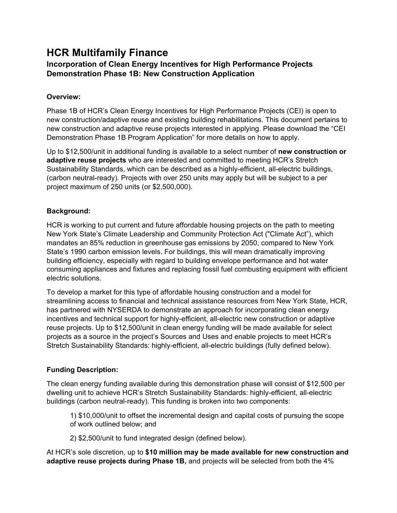# **HCR Multifamily Finance**

# **Incorporation of Clean Energy Incentives for High Performance Projects Demonstration Phase 1B: New Construction Application**

## **Overview:**

Phase 1B of HCR's Clean Energy Incentives for High Performance Projects (CEI) is open to new construction/adaptive reuse and existing building rehabilitations. This document pertains to new construction and adaptive reuse projects interested in applying. Please download the "CEI Demonstration Phase 1B Program Application" for more details on how to apply.

Up to \$12,500/unit in additional funding is available to a select number of **new construction or adaptive reuse projects** who are interested and committed to meeting HCR's Stretch Sustainability Standards, which can be described as a highly-efficient, all-electric buildings, (carbon neutral-ready). Projects with over 250 units may apply but will be subject to a per project maximum of 250 units (or \$2,500,000).

## **Background:**

HCR is working to put current and future affordable housing projects on the path to meeting New York State's Climate Leadership and Community Protection Act ("Climate Act"), which mandates an 85% reduction in greenhouse gas emissions by 2050, compared to New York State's 1990 carbon emission levels. For buildings, this will mean dramatically improving building efficiency, especially with regard to building envelope performance and hot water consuming appliances and fixtures and replacing fossil fuel combusting equipment with efficient electric solutions.

To develop a market for this type of affordable housing construction and a model for streamlining access to financial and technical assistance resources from New York State, HCR, has partnered with NYSERDA to demonstrate an approach for incorporating clean energy incentives and technical support for highly-efficient, all-electric new construction or adaptive reuse projects. Up to \$12,500/unit in clean energy funding will be made available for select projects as a source in the project's Sources and Uses and enable projects to meet HCR's Stretch Sustainability Standards: highly-efficient, all-electric buildings (fully defined below).

# **Funding Description:**

The clean energy funding available during this demonstration phase will consist of \$12,500 per dwelling unit to achieve HCR's Stretch Sustainability Standards: highly-efficient, all-electric buildings (carbon neutral-ready). This funding is broken into two components:

1) \$10,000/unit to offset the incremental design and capital costs of pursuing the scope of work outlined below; and

2) \$2,500/unit to fund integrated design (defined below).

At HCR's sole discretion, up to **\$10 million may be made available for new construction and adaptive reuse projects during Phase 1B,** and projects will be selected from both the 4%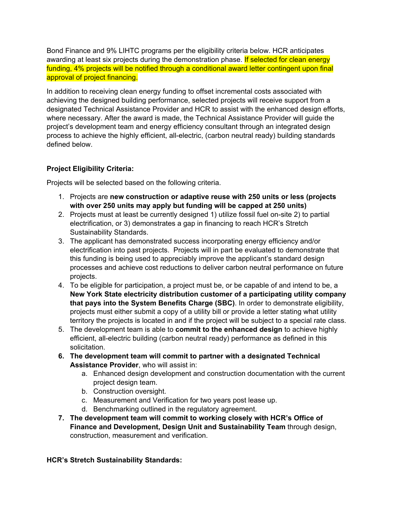Bond Finance and 9% LIHTC programs per the eligibility criteria below. HCR anticipates awarding at least six projects during the demonstration phase. If selected for clean energy funding, 4% projects will be notified through a conditional award letter contingent upon final approval of project financing.

In addition to receiving clean energy funding to offset incremental costs associated with achieving the designed building performance, selected projects will receive support from a designated Technical Assistance Provider and HCR to assist with the enhanced design efforts, where necessary. After the award is made, the Technical Assistance Provider will guide the project's development team and energy efficiency consultant through an integrated design process to achieve the highly efficient, all-electric, (carbon neutral ready) building standards defined below.

## **Project Eligibility Criteria:**

Projects will be selected based on the following criteria.

- 1. Projects are **new construction or adaptive reuse with 250 units or less (projects with over 250 units may apply but funding will be capped at 250 units)**
- 2. Projects must at least be currently designed 1) utilize fossil fuel on-site 2) to partial electrification, or 3) demonstrates a gap in financing to reach HCR's Stretch Sustainability Standards.
- 3. The applicant has demonstrated success incorporating energy efficiency and/or electrification into past projects. Projects will in part be evaluated to demonstrate that this funding is being used to appreciably improve the applicant's standard design processes and achieve cost reductions to deliver carbon neutral performance on future projects.
- 4. To be eligible for participation, a project must be, or be capable of and intend to be, a **New York State electricity distribution customer of a participating utility company that pays into the System Benefits Charge (SBC)**. In order to demonstrate eligibility, projects must either submit a copy of a utility bill or provide a letter stating what utility territory the projects is located in and if the project will be subject to a special rate class.
- 5. The development team is able to **commit to the enhanced design** to achieve highly efficient, all-electric building (carbon neutral ready) performance as defined in this solicitation.
- **6. The development team will commit to partner with a designated Technical Assistance Provider**, who will assist in:
	- a. Enhanced design development and construction documentation with the current project design team.
	- b. Construction oversight.
	- c. Measurement and Verification for two years post lease up.
	- d. Benchmarking outlined in the regulatory agreement.
- **7. The development team will commit to working closely with HCR's Office of Finance and Development, Design Unit and Sustainability Team** through design, construction, measurement and verification.

## **HCR's Stretch Sustainability Standards:**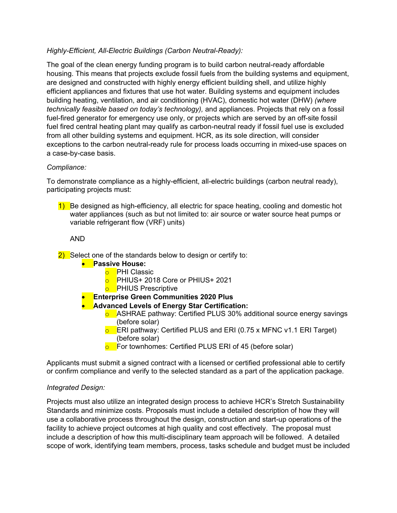## *Highly-Efficient, All-Electric Buildings (Carbon Neutral-Ready):*

The goal of the clean energy funding program is to build carbon neutral-ready affordable housing. This means that projects exclude fossil fuels from the building systems and equipment, are designed and constructed with highly energy efficient building shell, and utilize highly efficient appliances and fixtures that use hot water. Building systems and equipment includes building heating, ventilation, and air conditioning (HVAC), domestic hot water (DHW) *(where technically feasible based on today's technology),* and appliances. Projects that rely on a fossil fuel-fired generator for emergency use only, or projects which are served by an off-site fossil fuel fired central heating plant may qualify as carbon-neutral ready if fossil fuel use is excluded from all other building systems and equipment. HCR, as its sole direction, will consider exceptions to the carbon neutral-ready rule for process loads occurring in mixed-use spaces on a case-by-case basis.

## *Compliance:*

To demonstrate compliance as a highly-efficient, all-electric buildings (carbon neutral ready), participating projects must:

1) Be designed as high-efficiency, all electric for space heating, cooling and domestic hot water appliances (such as but not limited to: air source or water source heat pumps or variable refrigerant flow (VRF) units)

AND

- $\sqrt{2}$  Select one of the standards below to design or certify to:
	- **Passive House:**
		- o PHI Classic
		- **o** PHIUS+ 2018 Core or PHIUS+ 2021
		- **o** PHIUS Prescriptive
		- **Enterprise Green Communities 2020 Plus**
	- **Advanced Levels of Energy Star Certification:**
		- $\circ$  ASHRAE pathway: Certified PLUS 30% additional source energy savings (before solar)
		- **o** ERI pathway: Certified PLUS and ERI (0.75 x MFNC v1.1 ERI Target) (before solar)
		- $\overline{\circ}$  For townhomes: Certified PLUS ERI of 45 (before solar)

Applicants must submit a signed contract with a licensed or certified professional able to certify or confirm compliance and verify to the selected standard as a part of the application package.

#### *Integrated Design:*

Projects must also utilize an integrated design process to achieve HCR's Stretch Sustainability Standards and minimize costs. Proposals must include a detailed description of how they will use a collaborative process throughout the design, construction and start-up operations of the facility to achieve project outcomes at high quality and cost effectively. The proposal must include a description of how this multi-disciplinary team approach will be followed. A detailed scope of work, identifying team members, process, tasks schedule and budget must be included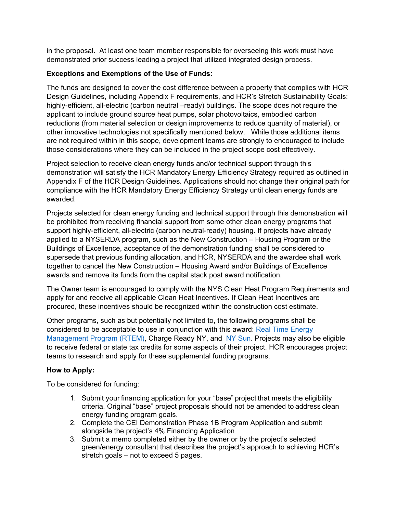in the proposal. At least one team member responsible for overseeing this work must have demonstrated prior success leading a project that utilized integrated design process.

## **Exceptions and Exemptions of the Use of Funds:**

The funds are designed to cover the cost difference between a property that complies with HCR Design Guidelines, including Appendix F requirements, and HCR's Stretch Sustainability Goals: highly-efficient, all-electric (carbon neutral –ready) buildings. The scope does not require the applicant to include ground source heat pumps, solar photovoltaics, embodied carbon reductions (from material selection or design improvements to reduce quantity of material), or other innovative technologies not specifically mentioned below. While those additional items are not required within in this scope, development teams are strongly to encouraged to include those considerations where they can be included in the project scope cost effectively.

Project selection to receive clean energy funds and/or technical support through this demonstration will satisfy the HCR Mandatory Energy Efficiency Strategy required as outlined in Appendix F of the HCR Design Guidelines. Applications should not change their original path for compliance with the HCR Mandatory Energy Efficiency Strategy until clean energy funds are awarded.

Projects selected for clean energy funding and technical support through this demonstration will be prohibited from receiving financial support from some other clean energy programs that support highly-efficient, all-electric (carbon neutral-ready) housing. If projects have already applied to a NYSERDA program, such as the New Construction – Housing Program or the Buildings of Excellence, acceptance of the demonstration funding shall be considered to supersede that previous funding allocation, and HCR, NYSERDA and the awardee shall work together to cancel the New Construction – Housing Award and/or Buildings of Excellence awards and remove its funds from the capital stack post award notification.

The Owner team is encouraged to comply with the NYS Clean Heat Program Requirements and apply for and receive all applicable Clean Heat Incentives. If Clean Heat Incentives are procured, these incentives should be recognized within the construction cost estimate.

Other programs, such as but potentially not limited to, the following programs shall be considered to be acceptable to use in conjunction with this award: [Real Time Energy](https://www.nyserda.ny.gov/all-programs/programs/real-time-energy-management)  [Management Program \(RTEM\),](https://www.nyserda.ny.gov/all-programs/programs/real-time-energy-management) Charge Ready NY, and [NY Sun.](https://www.nyserda.ny.gov/all-programs/programs/ny-sun) Projects may also be eligible to receive federal or state tax credits for some aspects of their project. HCR encourages project teams to research and apply for these supplemental funding programs.

#### **How to Apply:**

To be considered for funding:

- 1. Submit your financing application for your "base" project that meets the eligibility criteria. Original "base" project proposals should not be amended to address clean energy funding program goals.
- 2. Complete the CEI Demonstration Phase 1B Program Application and submit alongside the project's 4% Financing Application
- 3. Submit a memo completed either by the owner or by the project's selected green/energy consultant that describes the project's approach to achieving HCR's stretch goals – not to exceed 5 pages.